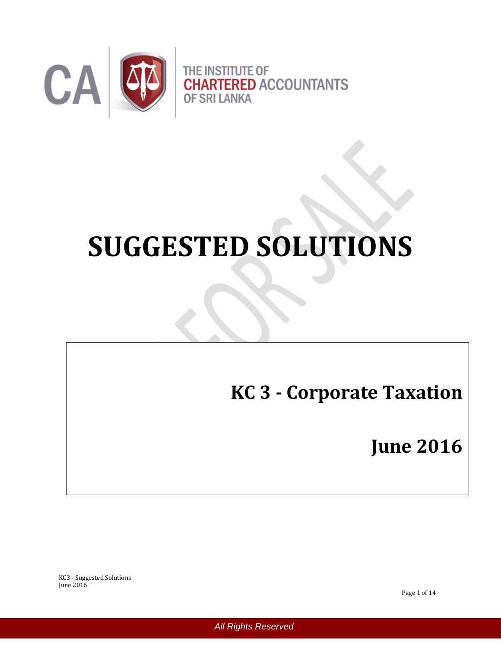

# **SUGGESTED SOLUTIONS**

**KC 3 - Corporate Taxation**

**June 2016**

KC3 - Suggested Solutions June 2016

Page 1 of 14

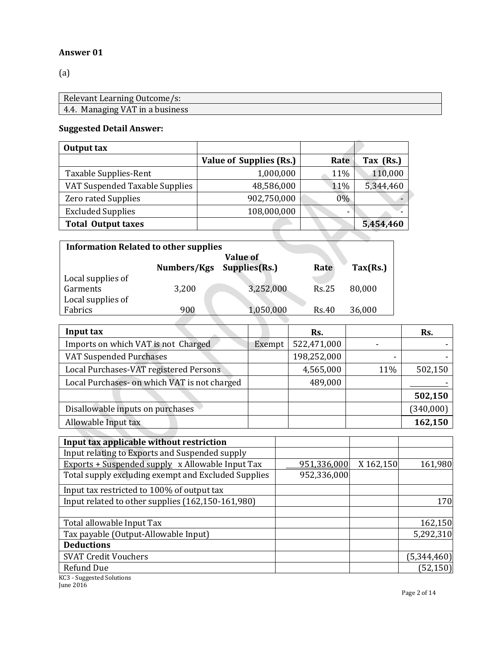#### **Answer 01**

(a)

| Relevant Learning Outcome/s:    |
|---------------------------------|
| 4.4. Managing VAT in a business |

# **Suggested Detail Answer:**

| Output tax                     |                                |                          |           |
|--------------------------------|--------------------------------|--------------------------|-----------|
|                                | <b>Value of Supplies (Rs.)</b> | Rate                     | Tax (Rs.) |
| Taxable Supplies-Rent          | 1,000,000                      | 11%                      | 110,000   |
| VAT Suspended Taxable Supplies | 48,586,000                     | 11%                      | 5,344,460 |
| <b>Zero rated Supplies</b>     | 902,750,000                    | $0\%$                    |           |
| <b>Excluded Supplies</b>       | 108,000,000                    | $\overline{\phantom{0}}$ |           |
| <b>Total Output taxes</b>      |                                |                          | 5,454,460 |
|                                |                                |                          |           |

| <b>Information Related to other supplies</b> |             |                 |              |          |
|----------------------------------------------|-------------|-----------------|--------------|----------|
|                                              |             | <b>Value of</b> |              |          |
|                                              | Numbers/Kgs | Supplies(Rs.)   | Rate         | Tax(Rs.) |
| Local supplies of                            |             |                 |              |          |
| Garments                                     | 3,200       | 3,252,000       | <b>Rs.25</b> | 80,000   |
| Local supplies of                            |             |                 |              |          |
| Fabrics                                      | 900         | 1,050,000       | Rs.40        | 36,000   |

| Input tax                                    |        | Rs.         |     | Rs.       |
|----------------------------------------------|--------|-------------|-----|-----------|
| Imports on which VAT is not Charged          | Exempt | 522,471,000 |     |           |
| <b>VAT Suspended Purchases</b>               |        | 198,252,000 | -   |           |
| Local Purchases-VAT registered Persons       |        | 4,565,000   | 11% | 502,150   |
| Local Purchases- on which VAT is not charged |        | 489,000     |     |           |
|                                              |        |             |     | 502,150   |
| Disallowable inputs on purchases             |        |             |     | (340,000) |
| Allowable Input tax                          |        |             |     | 162,150   |
|                                              |        |             |     |           |

| Input tax applicable without restriction                |             |           |             |
|---------------------------------------------------------|-------------|-----------|-------------|
| Input relating to Exports and Suspended supply          |             |           |             |
| <b>Exports + Suspended supply x Allowable Input Tax</b> | 951,336,000 | X 162,150 | 161,980     |
| Total supply excluding exempt and Excluded Supplies     | 952,336,000 |           |             |
| Input tax restricted to 100% of output tax              |             |           |             |
| Input related to other supplies (162,150-161,980)       |             |           | <b>170</b>  |
|                                                         |             |           |             |
| Total allowable Input Tax                               |             |           | 162,150     |
| Tax payable (Output-Allowable Input)                    |             |           | 5,292,310   |
| <b>Deductions</b>                                       |             |           |             |
| <b>SVAT Credit Vouchers</b>                             |             |           | (5,344,460) |
| <b>Refund Due</b>                                       |             |           | (52, 150)   |
| KC3 - Suggested Solutions                               |             |           |             |

June 2016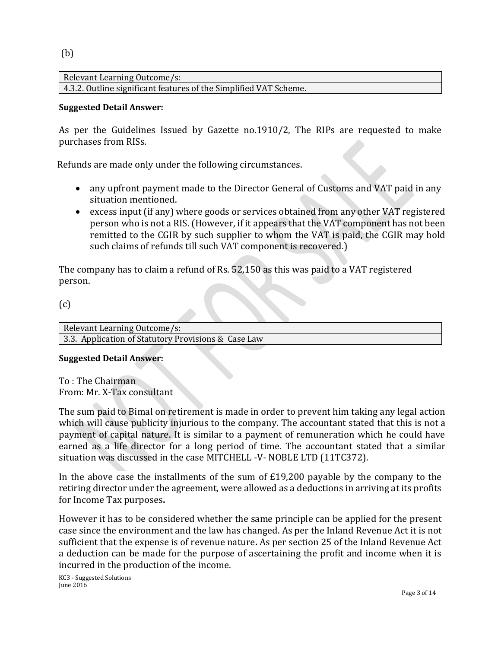(b)

Relevant Learning Outcome/s: 4.3.2. Outline significant features of the Simplified VAT Scheme.

# **Suggested Detail Answer:**

As per the Guidelines Issued by Gazette no.1910/2, The RIPs are requested to make purchases from RISs.

Refunds are made only under the following circumstances.

- any upfront payment made to the Director General of Customs and VAT paid in any situation mentioned.
- excess input (if any) where goods or services obtained from any other VAT registered person who is not a RIS. (However, if it appears that the VAT component has not been remitted to the CGIR by such supplier to whom the VAT is paid, the CGIR may hold such claims of refunds till such VAT component is recovered.)

The company has to claim a refund of Rs. 52,150 as this was paid to a VAT registered person.

(c)

Relevant Learning Outcome/s: 3.3. Application of Statutory Provisions & Case Law

# **Suggested Detail Answer:**

To : The Chairman From: Mr. X-Tax consultant

The sum paid to Bimal on retirement is made in order to prevent him taking any legal action which will cause publicity injurious to the company. The accountant stated that this is not a payment of capital nature. It is similar to a payment of remuneration which he could have earned as a life director for a long period of time. The accountant stated that a similar situation was discussed in the case MITCHELL -V- NOBLE LTD (11TC372).

In the above case the installments of the sum of £19,200 payable by the company to the retiring director under the agreement, were allowed as a deductions in arriving at its profits for Income Tax purposes**.**

However it has to be considered whether the same principle can be applied for the present case since the environment and the law has changed. As per the Inland Revenue Act it is not sufficient that the expense is of revenue nature**.** As per section 25 of the Inland Revenue Act a deduction can be made for the purpose of ascertaining the profit and income when it is incurred in the production of the income.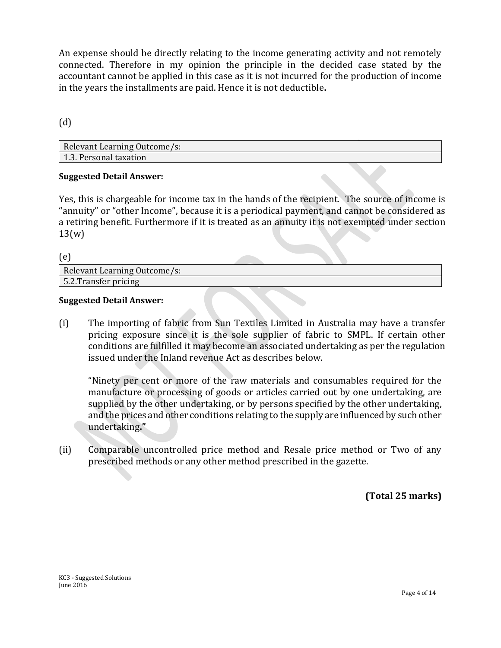An expense should be directly relating to the income generating activity and not remotely connected. Therefore in my opinion the principle in the decided case stated by the accountant cannot be applied in this case as it is not incurred for the production of income in the years the installments are paid. Hence it is not deductible**.**

(d)

| <b>Relevant Learning Outcome/s:</b> |  |
|-------------------------------------|--|
| 1.3. Personal taxation              |  |

# **Suggested Detail Answer:**

Yes, this is chargeable for income tax in the hands of the recipient. The source of income is "annuity" or "other Income", because it is a periodical payment, and cannot be considered as a retiring benefit. Furthermore if it is treated as an annuity it is not exempted under section 13(w)

(e)

| Relevant Learning Outcome/s: |  |  |
|------------------------------|--|--|
| 5.2. Transfer pricing        |  |  |
|                              |  |  |

### **Suggested Detail Answer:**

(i) The importing of fabric from Sun Textiles Limited in Australia may have a transfer pricing exposure since it is the sole supplier of fabric to SMPL. If certain other conditions are fulfilled it may become an associated undertaking as per the regulation issued under the Inland revenue Act as describes below.

"Ninety per cent or more of the raw materials and consumables required for the manufacture or processing of goods or articles carried out by one undertaking, are supplied by the other undertaking, or by persons specified by the other undertaking, and the prices and other conditions relating to the supply are influenced by such other undertaking**."**

(ii) Comparable uncontrolled price method and Resale price method or Two of any prescribed methods or any other method prescribed in the gazette.

**(Total 25 marks)**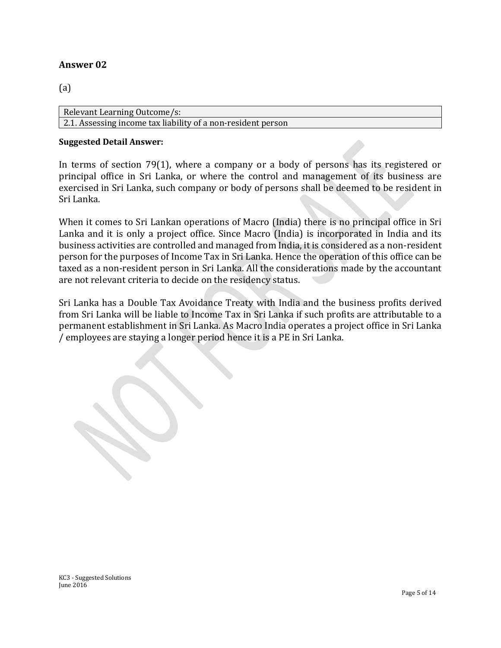# **Answer 02**

# (a)

Relevant Learning Outcome/s: 2.1. Assessing income tax liability of a non-resident person

#### **Suggested Detail Answer:**

In terms of section 79(1), where a company or a body of persons has its registered or principal office in Sri Lanka, or where the control and management of its business are exercised in Sri Lanka, such company or body of persons shall be deemed to be resident in Sri Lanka.

When it comes to Sri Lankan operations of Macro (India) there is no principal office in Sri Lanka and it is only a project office. Since Macro (India) is incorporated in India and its business activities are controlled and managed from India, it is considered as a non-resident person for the purposes of Income Tax in Sri Lanka. Hence the operation of this office can be taxed as a non-resident person in Sri Lanka. All the considerations made by the accountant are not relevant criteria to decide on the residency status.

Sri Lanka has a Double Tax Avoidance Treaty with India and the business profits derived from Sri Lanka will be liable to Income Tax in Sri Lanka if such profits are attributable to a permanent establishment in Sri Lanka. As Macro India operates a project office in Sri Lanka / employees are staying a longer period hence it is a PE in Sri Lanka.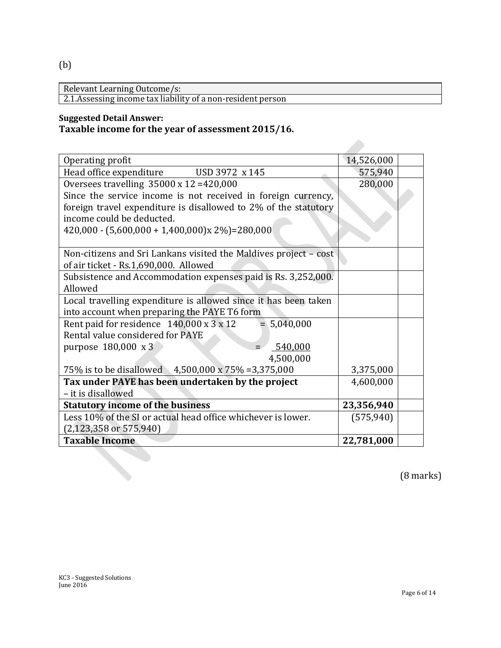(b)

Relevant Learning Outcome/s:

2.1.Assessing income tax liability of a non-resident person

# **Suggested Detail Answer:**

# **Taxable income for the year of assessment 2015/16.**

| Operating profit                                                      | 14,526,000 |  |
|-----------------------------------------------------------------------|------------|--|
| USD 3972 x 145<br>Head office expenditure                             | 575,940    |  |
| Oversees travelling $35000 \times 12 = 420,000$                       | 280,000    |  |
| Since the service income is not received in foreign currency,         |            |  |
| foreign travel expenditure is disallowed to 2% of the statutory       |            |  |
| income could be deducted.                                             |            |  |
| $420,000 - (5,600,000 + 1,400,000)x 2\%) = 280,000$                   |            |  |
|                                                                       |            |  |
| Non-citizens and Sri Lankans visited the Maldives project – cost      |            |  |
| of air ticket - Rs.1,690,000. Allowed                                 |            |  |
| Subsistence and Accommodation expenses paid is Rs. 3,252,000.         |            |  |
| Allowed                                                               |            |  |
| Local travelling expenditure is allowed since it has been taken       |            |  |
| into account when preparing the PAYE T6 form                          |            |  |
| Rent paid for residence $140,000 \times 3 \times 12$<br>$= 5,040,000$ |            |  |
| Rental value considered for PAYE                                      |            |  |
| 540,000<br>purpose 180,000 x 3                                        |            |  |
| 4,500,000                                                             |            |  |
| 75% is to be disallowed 4,500,000 x 75% = 3,375,000                   | 3,375,000  |  |
| Tax under PAYE has been undertaken by the project                     | 4,600,000  |  |
| - it is disallowed                                                    |            |  |
| <b>Statutory income of the business</b>                               | 23,356,940 |  |
| Less 10% of the SI or actual head office whichever is lower.          | (575, 940) |  |
| $(2,123,358 \text{ or } 575,940)$                                     |            |  |
| <b>Taxable Income</b>                                                 | 22,781,000 |  |

(8 marks)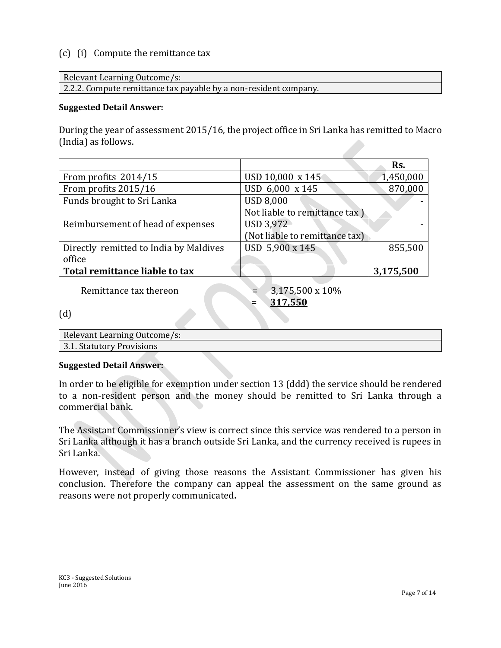# (c) (i) Compute the remittance tax

Relevant Learning Outcome/s:

2.2.2. Compute remittance tax payable by a non-resident company.

#### **Suggested Detail Answer:**

During the year of assessment 2015/16, the project office in Sri Lanka has remitted to Macro (India) as follows.

|                                        |                                | Rs.       |
|----------------------------------------|--------------------------------|-----------|
| From profits 2014/15                   | USD 10,000 x 145               | 1,450,000 |
| From profits 2015/16                   | USD 6,000 x 145                | 870,000   |
| Funds brought to Sri Lanka             | <b>USD 8,000</b>               |           |
|                                        | Not liable to remittance tax)  |           |
| Reimbursement of head of expenses      | USD 3,972                      |           |
|                                        | (Not liable to remittance tax) |           |
| Directly remitted to India by Maldives | USD 5,900 x 145                | 855,500   |
| office                                 |                                |           |
| Total remittance liable to tax         |                                | 3,175,500 |
|                                        |                                |           |

Remittance tax thereon  $= 3,175,500 \times 10\%$ 

= **317,550**

(d)

| Relevant Learning Outcome/s: |
|------------------------------|
| 3.1. Statutory Provisions    |

#### **Suggested Detail Answer:**

In order to be eligible for exemption under section 13 (ddd) the service should be rendered to a non-resident person and the money should be remitted to Sri Lanka through a commercial bank.

The Assistant Commissioner's view is correct since this service was rendered to a person in Sri Lanka although it has a branch outside Sri Lanka, and the currency received is rupees in Sri Lanka.

However, instead of giving those reasons the Assistant Commissioner has given his conclusion. Therefore the company can appeal the assessment on the same ground as reasons were not properly communicated**.**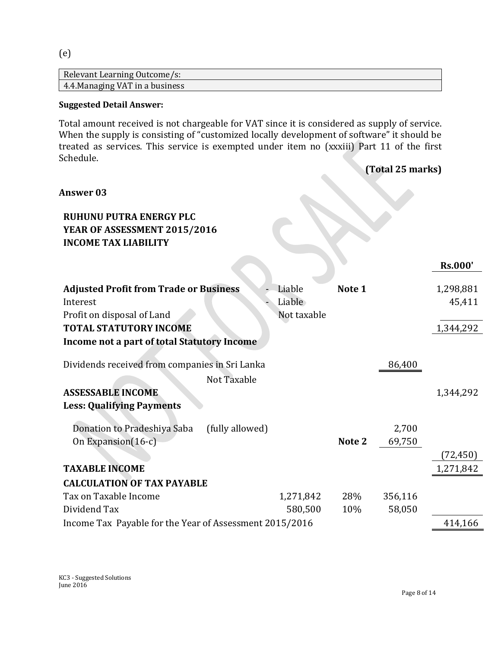# (e)

| Relevant Learning Outcome/s:    |  |
|---------------------------------|--|
| 4.4. Managing VAT in a business |  |

# **Suggested Detail Answer:**

Total amount received is not chargeable for VAT since it is considered as supply of service. When the supply is consisting of "customized locally development of software" it should be treated as services. This service is exempted under item no (xxxiii) Part 11 of the first Schedule. **(Total 25 marks)**

|                                                                                                                               |                                 |            | $\mathbf{1}$ otal 40 marroj |                     |
|-------------------------------------------------------------------------------------------------------------------------------|---------------------------------|------------|-----------------------------|---------------------|
| <b>Answer 03</b>                                                                                                              |                                 |            |                             |                     |
| <b>RUHUNU PUTRA ENERGY PLC</b><br>YEAR OF ASSESSMENT 2015/2016<br><b>INCOME TAX LIABILITY</b>                                 |                                 |            |                             |                     |
|                                                                                                                               |                                 |            |                             | <b>Rs.000'</b>      |
| <b>Adjusted Profit from Trade or Business</b><br>Interest<br>Profit on disposal of Land                                       | Liable<br>Liable<br>Not taxable | Note 1     |                             | 1,298,881<br>45,411 |
| <b>TOTAL STATUTORY INCOME</b>                                                                                                 |                                 |            |                             | 1,344,292           |
| Income not a part of total Statutory Income                                                                                   |                                 |            |                             |                     |
| Dividends received from companies in Sri Lanka<br>Not Taxable<br><b>ASSESSABLE INCOME</b><br><b>Less: Qualifying Payments</b> |                                 |            | 86,400                      | 1,344,292           |
| Donation to Pradeshiya Saba<br>(fully allowed)<br>On Expansion(16-c)                                                          |                                 | Note 2     | 2,700<br>69,750             | (72,450)            |
| <b>TAXABLE INCOME</b>                                                                                                         |                                 |            |                             | 1,271,842           |
| <b>CALCULATION OF TAX PAYABLE</b>                                                                                             |                                 |            |                             |                     |
| Tax on Taxable Income<br>Dividend Tax                                                                                         | 1,271,842<br>580,500            | 28%<br>10% | 356,116<br>58,050           |                     |
| Income Tax Payable for the Year of Assessment 2015/2016                                                                       |                                 |            |                             | 414,166             |
|                                                                                                                               |                                 |            |                             |                     |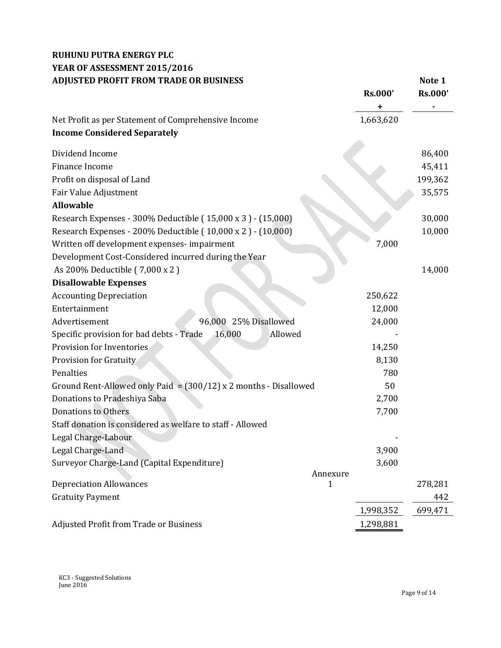# **RUHUNU PUTRA ENERGY PLC YEAR OF ASSESSMENT 2015/2016** ADJUSTED PROFIT FROM TRADE OR BUSINESS Note 1

|                                                                    | <b>Rs.000'</b> | <b>Rs.000'</b> |
|--------------------------------------------------------------------|----------------|----------------|
|                                                                    | ٠              |                |
| Net Profit as per Statement of Comprehensive Income                | 1,663,620      |                |
| <b>Income Considered Separately</b>                                |                |                |
| Dividend Income                                                    |                | 86,400         |
| Finance Income                                                     |                | 45,411         |
| Profit on disposal of Land                                         |                | 199,362        |
| Fair Value Adjustment                                              |                | 35,575         |
| <b>Allowable</b>                                                   |                |                |
| Research Expenses - 300% Deductible (15,000 x 3) - (15,000)        |                | 30,000         |
| Research Expenses - 200% Deductible (10,000 x 2) - (10,000)        |                | 10,000         |
| Written off development expenses- impairment                       | 7,000          |                |
| Development Cost-Considered incurred during the Year               |                |                |
| As 200% Deductible (7,000 x 2)                                     |                | 14,000         |
| <b>Disallowable Expenses</b>                                       |                |                |
| <b>Accounting Depreciation</b>                                     | 250,622        |                |
| Entertainment                                                      | 12,000         |                |
| 96,000 25% Disallowed<br>Advertisement                             | 24,000         |                |
| Specific provision for bad debts - Trade<br>16,000<br>Allowed      |                |                |
| Provision for Inventories                                          | 14,250         |                |
| <b>Provision for Gratuity</b>                                      | 8,130          |                |
| Penalties                                                          | 780            |                |
| Ground Rent-Allowed only Paid = $(300/12)$ x 2 months - Disallowed | 50             |                |
| Donations to Pradeshiya Saba                                       | 2,700          |                |
| <b>Donations to Others</b>                                         | 7,700          |                |
| Staff donation is considered as welfare to staff - Allowed         |                |                |
| Legal Charge-Labour                                                |                |                |
| Legal Charge-Land                                                  | 3,900          |                |
| Surveyor Charge-Land (Capital Expenditure)                         | 3,600          |                |
| Annexure                                                           |                |                |
| <b>Depreciation Allowances</b><br>$\mathbf{1}$                     |                | 278,281        |
| <b>Gratuity Payment</b>                                            |                | 442            |
|                                                                    | 1,998,352      | 699,471        |
| Adjusted Profit from Trade or Business                             | 1,298,881      |                |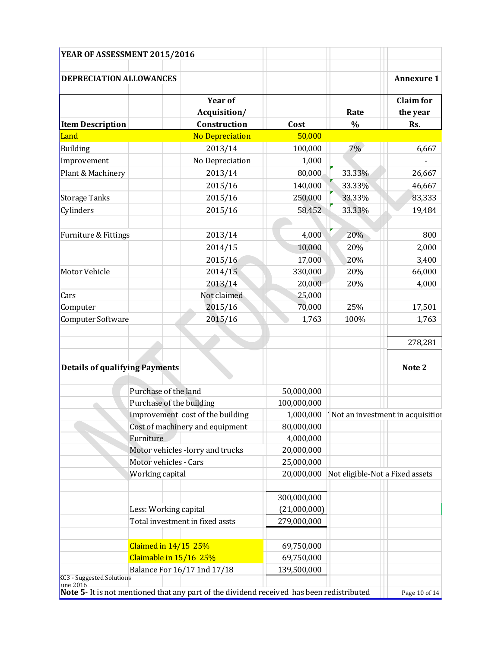| YEAR OF ASSESSMENT 2015/2016                                                                            |                                                                     |                                  |              |                                 |                                              |
|---------------------------------------------------------------------------------------------------------|---------------------------------------------------------------------|----------------------------------|--------------|---------------------------------|----------------------------------------------|
| <b>DEPRECIATION ALLOWANCES</b>                                                                          |                                                                     |                                  |              |                                 | <b>Annexure 1</b>                            |
|                                                                                                         |                                                                     |                                  |              |                                 |                                              |
|                                                                                                         |                                                                     | <b>Year of</b>                   |              |                                 | <b>Claim</b> for                             |
|                                                                                                         |                                                                     | Acquisition/                     |              | Rate                            | the year                                     |
| <b>Item Description</b>                                                                                 |                                                                     | Construction                     | Cost         | $\frac{0}{0}$                   | Rs.                                          |
| Land                                                                                                    |                                                                     | <b>No Depreciation</b>           | 50,000       |                                 |                                              |
| Building                                                                                                |                                                                     | 2013/14                          | 100,000      | 7%                              | 6,667                                        |
| Improvement                                                                                             |                                                                     | No Depreciation                  | 1,000        |                                 |                                              |
| Plant & Machinery                                                                                       |                                                                     | 2013/14                          | 80,000       | 33.33%                          | 26,667                                       |
|                                                                                                         |                                                                     | 2015/16                          | 140,000      | 33.33%                          | 46,667                                       |
| <b>Storage Tanks</b>                                                                                    |                                                                     | 2015/16                          | 250,000      | 33.33%                          | 83,333                                       |
| Cylinders                                                                                               |                                                                     | 2015/16                          | 58,452       | 33.33%                          | 19,484                                       |
|                                                                                                         |                                                                     |                                  |              |                                 |                                              |
| Furniture & Fittings                                                                                    |                                                                     | 2013/14                          | 4,000        | 20%                             | 800                                          |
|                                                                                                         |                                                                     | 2014/15                          | 10,000       | 20%                             | 2,000                                        |
|                                                                                                         |                                                                     | 2015/16                          | 17,000       | 20%                             | 3,400                                        |
| Motor Vehicle                                                                                           |                                                                     | 2014/15                          | 330,000      | 20%                             | 66,000                                       |
|                                                                                                         |                                                                     | 2013/14                          | 20,000       | 20%                             | 4,000                                        |
| Cars                                                                                                    |                                                                     | Not claimed                      | 25,000       |                                 |                                              |
| Computer                                                                                                |                                                                     | 2015/16                          | 70,000       | 25%                             | 17,501                                       |
| Computer Software                                                                                       |                                                                     | 2015/16                          | 1,763        | 100%                            | 1,763                                        |
|                                                                                                         |                                                                     |                                  |              |                                 |                                              |
|                                                                                                         |                                                                     |                                  |              |                                 | 278,281                                      |
| <b>Details of qualifying Payments</b>                                                                   |                                                                     |                                  |              |                                 | Note 2                                       |
|                                                                                                         |                                                                     |                                  |              |                                 |                                              |
|                                                                                                         | Purchase of the land                                                |                                  | 50,000,000   |                                 |                                              |
|                                                                                                         | Purchase of the building                                            |                                  | 100,000,000  |                                 |                                              |
|                                                                                                         | Improvement cost of the building<br>Cost of machinery and equipment |                                  |              |                                 | 1,000,000   Not an investment in acquisition |
|                                                                                                         |                                                                     |                                  | 80,000,000   |                                 |                                              |
|                                                                                                         | Furniture                                                           |                                  | 4,000,000    |                                 |                                              |
|                                                                                                         |                                                                     | Motor vehicles -lorry and trucks | 20,000,000   |                                 |                                              |
|                                                                                                         | Motor vehicles - Cars                                               |                                  | 25,000,000   |                                 |                                              |
|                                                                                                         | Working capital                                                     |                                  | 20,000,000   | Not eligible-Not a Fixed assets |                                              |
|                                                                                                         |                                                                     |                                  | 300,000,000  |                                 |                                              |
|                                                                                                         | Less: Working capital                                               |                                  | (21,000,000) |                                 |                                              |
|                                                                                                         |                                                                     | Total investment in fixed assts  | 279,000,000  |                                 |                                              |
|                                                                                                         |                                                                     |                                  |              |                                 |                                              |
|                                                                                                         | Claimed in 14/15 25%                                                |                                  | 69,750,000   |                                 |                                              |
|                                                                                                         | Claimable in 15/16 25%                                              |                                  | 69,750,000   |                                 |                                              |
| KC3 - Suggested Solutions                                                                               |                                                                     | Balance For 16/17 1nd 17/18      | 139,500,000  |                                 |                                              |
| $une$ 2016<br>Note 5- It is not mentioned that any part of the dividend received has been redistributed |                                                                     |                                  |              |                                 |                                              |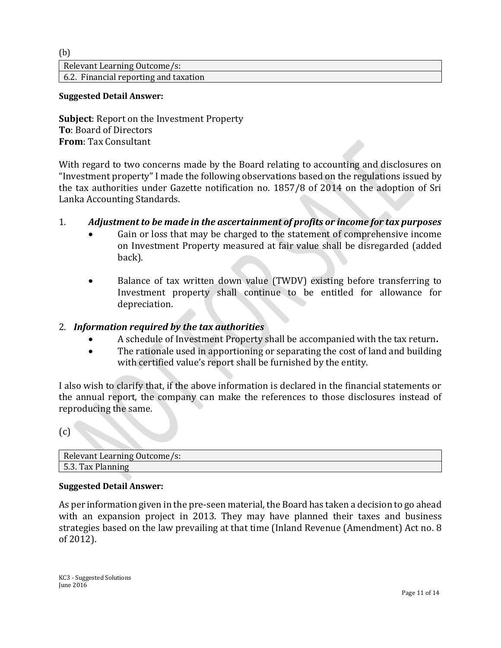(b)

Relevant Learning Outcome/s: 6.2. Financial reporting and taxation

### **Suggested Detail Answer:**

**Subject**: Report on the Investment Property **To**: Board of Directors **From**: Tax Consultant

With regard to two concerns made by the Board relating to accounting and disclosures on "Investment property" I made the following observations based on the regulations issued by the tax authorities under Gazette notification no. 1857/8 of 2014 on the adoption of Sri Lanka Accounting Standards.

# 1. *Adjustment to be made in the ascertainment of profits or income for tax purposes*

- Gain or loss that may be charged to the statement of comprehensive income on Investment Property measured at fair value shall be disregarded (added back).
- Balance of tax written down value (TWDV) existing before transferring to Investment property shall continue to be entitled for allowance for depreciation.

# 2. *Information required by the tax authorities*

- A schedule of Investment Property shall be accompanied with the tax return**.**
- The rationale used in apportioning or separating the cost of land and building with certified value's report shall be furnished by the entity.

I also wish to clarify that, if the above information is declared in the financial statements or the annual report, the company can make the references to those disclosures instead of reproducing the same.

(c)

| Relevant Learning Outcome/s: |
|------------------------------|
| 5.3. Tax Planning            |

# **Suggested Detail Answer:**

As per information given in the pre-seen material, the Board has taken a decision to go ahead with an expansion project in 2013. They may have planned their taxes and business strategies based on the law prevailing at that time (Inland Revenue (Amendment) Act no. 8 of 2012).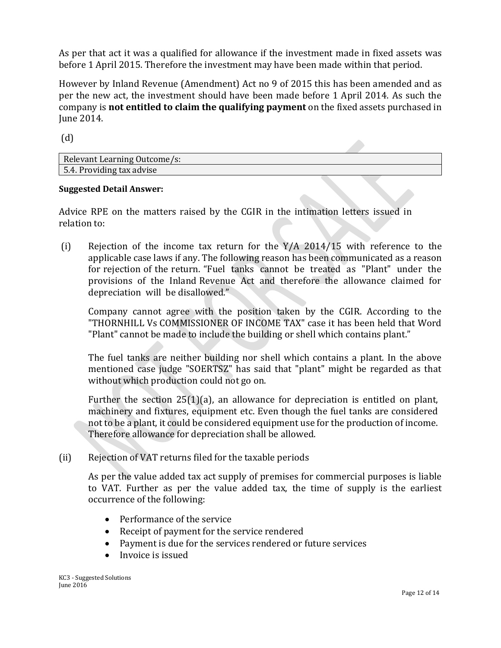As per that act it was a qualified for allowance if the investment made in fixed assets was before 1 April 2015. Therefore the investment may have been made within that period.

However by Inland Revenue (Amendment) Act no 9 of 2015 this has been amended and as per the new act, the investment should have been made before 1 April 2014. As such the company is **not entitled to claim the qualifying payment** on the fixed assets purchased in June 2014.

(d)

| Relevant Learning Outcome/s: |  |  |
|------------------------------|--|--|
| 5.4. Providing tax advise    |  |  |

# **Suggested Detail Answer:**

Advice RPE on the matters raised by the CGIR in the intimation letters issued in relation to:

(i) Rejection of the income tax return for the Y/A 2014/15 with reference to the applicable case laws if any. The following reason has been communicated as a reason for rejection of the return. "Fuel tanks cannot be treated as "Plant" under the provisions of the Inland Revenue Act and therefore the allowance claimed for depreciation will be disallowed."

Company cannot agree with the position taken by the CGIR. According to the "THORNHILL Vs COMMISSIONER OF INCOME TAX" case it has been held that Word "Plant" cannot be made to include the building or shell which contains plant."

The fuel tanks are neither building nor shell which contains a plant. In the above mentioned case judge "SOERTSZ" has said that "plant" might be regarded as that without which production could not go on.

Further the section 25(1)(a), an allowance for depreciation is entitled on plant, machinery and fixtures, equipment etc. Even though the fuel tanks are considered not to be a plant, it could be considered equipment use for the production of income. Therefore allowance for depreciation shall be allowed.

(ii) Rejection of VAT returns filed for the taxable periods

As per the value added tax act supply of premises for commercial purposes is liable to VAT. Further as per the value added tax, the time of supply is the earliest occurrence of the following:

- Performance of the service
- Receipt of payment for the service rendered
- Payment is due for the services rendered or future services
- Invoice is issued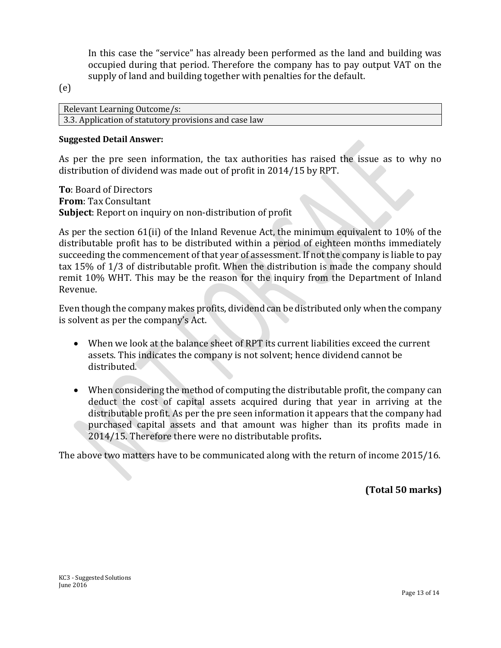In this case the "service" has already been performed as the land and building was occupied during that period. Therefore the company has to pay output VAT on the supply of land and building together with penalties for the default.

(e)

Relevant Learning Outcome/s: 3.3. Application of statutory provisions and case law

# **Suggested Detail Answer:**

As per the pre seen information, the tax authorities has raised the issue as to why no distribution of dividend was made out of profit in 2014/15 by RPT.

**To**: Board of Directors **From**: Tax Consultant **Subject**: Report on inquiry on non-distribution of profit

As per the section 61(ii) of the Inland Revenue Act, the minimum equivalent to 10% of the distributable profit has to be distributed within a period of eighteen months immediately succeeding the commencement of that year of assessment. If not the company is liable to pay tax 15% of 1/3 of distributable profit. When the distribution is made the company should remit 10% WHT. This may be the reason for the inquiry from the Department of Inland Revenue.

Even though the company makes profits, dividend can be distributed only when the company is solvent as per the company's Act.

- When we look at the balance sheet of RPT its current liabilities exceed the current assets. This indicates the company is not solvent; hence dividend cannot be distributed.
- When considering the method of computing the distributable profit, the company can deduct the cost of capital assets acquired during that year in arriving at the distributable profit. As per the pre seen information it appears that the company had purchased capital assets and that amount was higher than its profits made in 2014/15. Therefore there were no distributable profits**.**

The above two matters have to be communicated along with the return of income 2015/16.

**(Total 50 marks)**